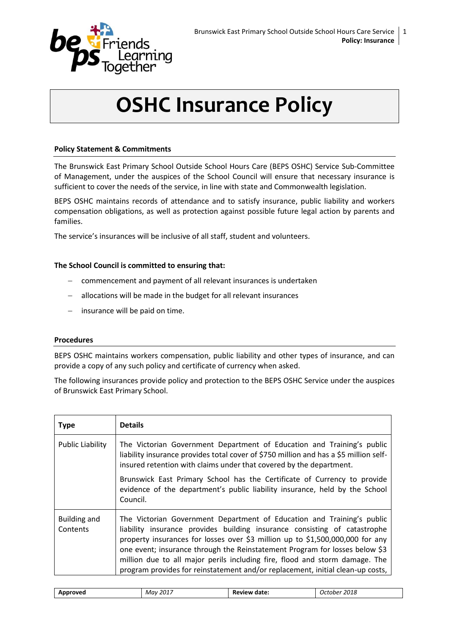

# **OSHC Insurance Policy**

## **Policy Statement & Commitments**

The Brunswick East Primary School Outside School Hours Care (BEPS OSHC) Service Sub-Committee of Management, under the auspices of the School Council will ensure that necessary insurance is sufficient to cover the needs of the service, in line with state and Commonwealth legislation.

BEPS OSHC maintains records of attendance and to satisfy insurance, public liability and workers compensation obligations, as well as protection against possible future legal action by parents and families.

The service's insurances will be inclusive of all staff, student and volunteers.

### **The School Council is committed to ensuring that:**

- commencement and payment of all relevant insurances is undertaken
- allocations will be made in the budget for all relevant insurances
- $-$  insurance will be paid on time.

### **Procedures**

BEPS OSHC maintains workers compensation, public liability and other types of insurance, and can provide a copy of any such policy and certificate of currency when asked.

The following insurances provide policy and protection to the BEPS OSHC Service under the auspices of Brunswick East Primary School.

| <b>Type</b>              | <b>Details</b>                                                                                                                                                                                                                                                                                                                                                                                                                                                                       |
|--------------------------|--------------------------------------------------------------------------------------------------------------------------------------------------------------------------------------------------------------------------------------------------------------------------------------------------------------------------------------------------------------------------------------------------------------------------------------------------------------------------------------|
| <b>Public Liability</b>  | The Victorian Government Department of Education and Training's public<br>liability insurance provides total cover of \$750 million and has a \$5 million self-<br>insured retention with claims under that covered by the department.                                                                                                                                                                                                                                               |
|                          | Brunswick East Primary School has the Certificate of Currency to provide<br>evidence of the department's public liability insurance, held by the School<br>Council.                                                                                                                                                                                                                                                                                                                  |
| Building and<br>Contents | The Victorian Government Department of Education and Training's public<br>liability insurance provides building insurance consisting of catastrophe<br>property insurances for losses over \$3 million up to \$1,500,000,000 for any<br>one event; insurance through the Reinstatement Program for losses below \$3<br>million due to all major perils including fire, flood and storm damage. The<br>program provides for reinstatement and/or replacement, initial clean-up costs, |

| 2018<br>.<br>-2017<br>Review date:<br>Approved<br>Mav<br>_uctober_<br>_____ |  |
|-----------------------------------------------------------------------------|--|
|-----------------------------------------------------------------------------|--|